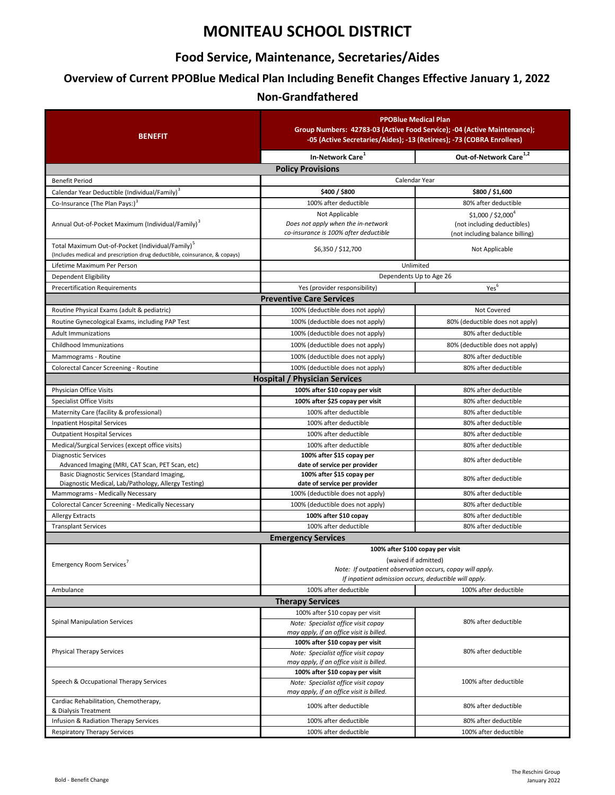# **MONITEAU SCHOOL DISTRICT**

### **Food Service, Maintenance, Secretaries/Aides**

## **Overview of Current PPOBlue Medical Plan Including Benefit Changes Effective January 1, 2022**

### **Non-Grandfathered**

| <b>BENEFIT</b>                                                                                                                             | <b>PPOBlue Medical Plan</b><br>Group Numbers: 42783-03 (Active Food Service); -04 (Active Maintenance);<br>-05 (Active Secretaries/Aides); -13 (Retirees); -73 (COBRA Enrollees) |                                                                                       |
|--------------------------------------------------------------------------------------------------------------------------------------------|----------------------------------------------------------------------------------------------------------------------------------------------------------------------------------|---------------------------------------------------------------------------------------|
|                                                                                                                                            | In-Network Care <sup>1</sup>                                                                                                                                                     | Out-of-Network Care <sup>1,2</sup>                                                    |
|                                                                                                                                            | <b>Policy Provisions</b>                                                                                                                                                         |                                                                                       |
| <b>Benefit Period</b>                                                                                                                      | Calendar Year                                                                                                                                                                    |                                                                                       |
| Calendar Year Deductible (Individual/Family) <sup>3</sup>                                                                                  | \$400 / \$800                                                                                                                                                                    | \$800 / \$1,600                                                                       |
| Co-Insurance (The Plan Pays:) <sup>3</sup>                                                                                                 | 100% after deductible                                                                                                                                                            | 80% after deductible                                                                  |
| Annual Out-of-Pocket Maximum (Individual/Family) <sup>3</sup>                                                                              | Not Applicable<br>Does not apply when the in-network<br>co-insurance is 100% after deductible                                                                                    | $$1,000 / $2,000^4$<br>(not including deductibles)<br>(not including balance billing) |
| Total Maximum Out-of-Pocket (Individual/Family) <sup>5</sup><br>(Includes medical and prescription drug deductible, coinsurance, & copays) | \$6,350 / \$12,700                                                                                                                                                               | Not Applicable                                                                        |
| Lifetime Maximum Per Person                                                                                                                | Unlimited                                                                                                                                                                        |                                                                                       |
| Dependent Eligibility                                                                                                                      | Dependents Up to Age 26                                                                                                                                                          |                                                                                       |
| <b>Precertification Requirements</b>                                                                                                       | Yes (provider responsibility)                                                                                                                                                    | Yes <sup>6</sup>                                                                      |
|                                                                                                                                            | <b>Preventive Care Services</b>                                                                                                                                                  |                                                                                       |
| Routine Physical Exams (adult & pediatric)                                                                                                 | 100% (deductible does not apply)                                                                                                                                                 | Not Covered                                                                           |
| Routine Gynecological Exams, including PAP Test                                                                                            | 100% (deductible does not apply)                                                                                                                                                 | 80% (deductible does not apply)                                                       |
| <b>Adult Immunizations</b>                                                                                                                 | 100% (deductible does not apply)                                                                                                                                                 | 80% after deductible                                                                  |
| Childhood Immunizations                                                                                                                    | 100% (deductible does not apply)                                                                                                                                                 | 80% (deductible does not apply)                                                       |
| Mammograms - Routine                                                                                                                       | 100% (deductible does not apply)                                                                                                                                                 | 80% after deductible                                                                  |
| Colorectal Cancer Screening - Routine                                                                                                      | 100% (deductible does not apply)                                                                                                                                                 | 80% after deductible                                                                  |
|                                                                                                                                            | <b>Hospital / Physician Services</b>                                                                                                                                             |                                                                                       |
| Physician Office Visits                                                                                                                    | 100% after \$10 copay per visit<br>100% after \$25 copay per visit                                                                                                               | 80% after deductible                                                                  |
| <b>Specialist Office Visits</b><br>Maternity Care (facility & professional)                                                                | 100% after deductible                                                                                                                                                            | 80% after deductible<br>80% after deductible                                          |
| <b>Inpatient Hospital Services</b>                                                                                                         | 100% after deductible                                                                                                                                                            | 80% after deductible                                                                  |
| <b>Outpatient Hospital Services</b>                                                                                                        | 100% after deductible                                                                                                                                                            | 80% after deductible                                                                  |
| Medical/Surgical Services (except office visits)                                                                                           | 100% after deductible                                                                                                                                                            | 80% after deductible                                                                  |
| <b>Diagnostic Services</b>                                                                                                                 | 100% after \$15 copay per                                                                                                                                                        |                                                                                       |
| Advanced Imaging (MRI, CAT Scan, PET Scan, etc)                                                                                            | date of service per provider                                                                                                                                                     | 80% after deductible                                                                  |
| Basic Diagnostic Services (Standard Imaging,                                                                                               | 100% after \$15 copay per                                                                                                                                                        | 80% after deductible                                                                  |
| Diagnostic Medical, Lab/Pathology, Allergy Testing)<br>Mammograms - Medically Necessary                                                    | date of service per provider<br>100% (deductible does not apply)                                                                                                                 | 80% after deductible                                                                  |
| Colorectal Cancer Screening - Medically Necessary                                                                                          | 100% (deductible does not apply)                                                                                                                                                 | 80% after deductible                                                                  |
| <b>Allergy Extracts</b>                                                                                                                    | 100% after \$10 copay                                                                                                                                                            | 80% after deductible                                                                  |
| <b>Transplant Services</b>                                                                                                                 | 100% after deductible                                                                                                                                                            | 80% after deductible                                                                  |
|                                                                                                                                            | <b>Emergency Services</b>                                                                                                                                                        |                                                                                       |
|                                                                                                                                            | 100% after \$100 copay per visit                                                                                                                                                 |                                                                                       |
| Emergency Room Services'                                                                                                                   | (waived if admitted)<br>Note: If outpatient observation occurs, copay will apply.<br>If inpatient admission occurs, deductible will apply.                                       |                                                                                       |
| Ambulance                                                                                                                                  | 100% after deductible                                                                                                                                                            | 100% after deductible                                                                 |
| <b>Therapy Services</b>                                                                                                                    |                                                                                                                                                                                  |                                                                                       |
| <b>Spinal Manipulation Services</b>                                                                                                        | 100% after \$10 copay per visit<br>Note: Specialist office visit copay<br>may apply, if an office visit is billed.                                                               | 80% after deductible                                                                  |
| <b>Physical Therapy Services</b>                                                                                                           | 100% after \$10 copay per visit<br>Note: Specialist office visit copay<br>may apply, if an office visit is billed.                                                               | 80% after deductible                                                                  |
| Speech & Occupational Therapy Services                                                                                                     | 100% after \$10 copay per visit<br>Note: Specialist office visit copay<br>may apply, if an office visit is billed.                                                               | 100% after deductible                                                                 |
| Cardiac Rehabilitation, Chemotherapy,<br>& Dialysis Treatment                                                                              | 100% after deductible                                                                                                                                                            | 80% after deductible                                                                  |
| Infusion & Radiation Therapy Services                                                                                                      | 100% after deductible                                                                                                                                                            | 80% after deductible                                                                  |
| <b>Respiratory Therapy Services</b>                                                                                                        | 100% after deductible                                                                                                                                                            | 100% after deductible                                                                 |